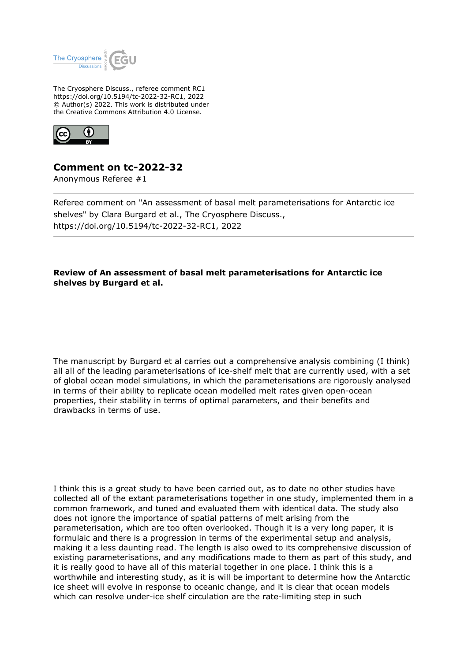

The Cryosphere Discuss., referee comment RC1 https://doi.org/10.5194/tc-2022-32-RC1, 2022 © Author(s) 2022. This work is distributed under the Creative Commons Attribution 4.0 License.



## **Comment on tc-2022-32**

Anonymous Referee #1

Referee comment on "An assessment of basal melt parameterisations for Antarctic ice shelves" by Clara Burgard et al., The Cryosphere Discuss., https://doi.org/10.5194/tc-2022-32-RC1, 2022

## **Review of An assessment of basal melt parameterisations for Antarctic ice shelves by Burgard et al.**

The manuscript by Burgard et al carries out a comprehensive analysis combining (I think) all all of the leading parameterisations of ice-shelf melt that are currently used, with a set of global ocean model simulations, in which the parameterisations are rigorously analysed in terms of their ability to replicate ocean modelled melt rates given open-ocean properties, their stability in terms of optimal parameters, and their benefits and drawbacks in terms of use.

I think this is a great study to have been carried out, as to date no other studies have collected all of the extant parameterisations together in one study, implemented them in a common framework, and tuned and evaluated them with identical data. The study also does not ignore the importance of spatial patterns of melt arising from the parameterisation, which are too often overlooked. Though it is a very long paper, it is formulaic and there is a progression in terms of the experimental setup and analysis, making it a less daunting read. The length is also owed to its comprehensive discussion of existing parameterisations, and any modifications made to them as part of this study, and it is really good to have all of this material together in one place. I think this is a worthwhile and interesting study, as it is will be important to determine how the Antarctic ice sheet will evolve in response to oceanic change, and it is clear that ocean models which can resolve under-ice shelf circulation are the rate-limiting step in such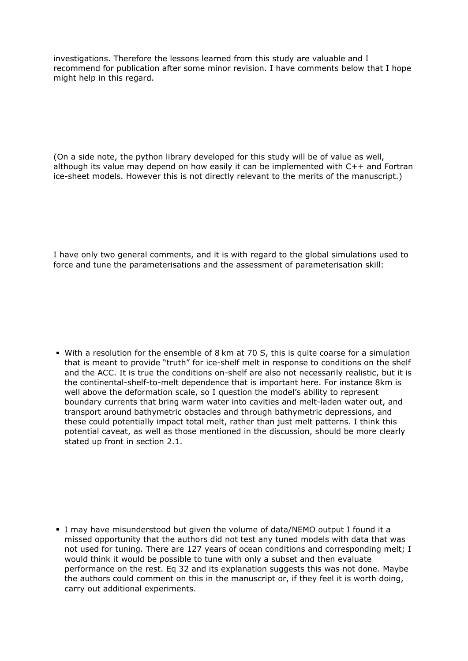investigations. Therefore the lessons learned from this study are valuable and I recommend for publication after some minor revision. I have comments below that I hope might help in this regard.

(On a side note, the python library developed for this study will be of value as well, although its value may depend on how easily it can be implemented with C++ and Fortran ice-sheet models. However this is not directly relevant to the merits of the manuscript.)

I have only two general comments, and it is with regard to the global simulations used to force and tune the parameterisations and the assessment of parameterisation skill:

With a resolution for the ensemble of 8 km at 70 S, this is quite coarse for a simulation that is meant to provide "truth" for ice-shelf melt in response to conditions on the shelf and the ACC. It is true the conditions on-shelf are also not necessarily realistic, but it is the continental-shelf-to-melt dependence that is important here. For instance 8km is well above the deformation scale, so I question the model's ability to represent boundary currents that bring warm water into cavities and melt-laden water out, and transport around bathymetric obstacles and through bathymetric depressions, and these could potentially impact total melt, rather than just melt patterns. I think this potential caveat, as well as those mentioned in the discussion, should be more clearly stated up front in section 2.1.

I may have misunderstood but given the volume of data/NEMO output I found it a missed opportunity that the authors did not test any tuned models with data that was not used for tuning. There are 127 years of ocean conditions and corresponding melt; I would think it would be possible to tune with only a subset and then evaluate performance on the rest. Eq 32 and its explanation suggests this was not done. Maybe the authors could comment on this in the manuscript or, if they feel it is worth doing, carry out additional experiments.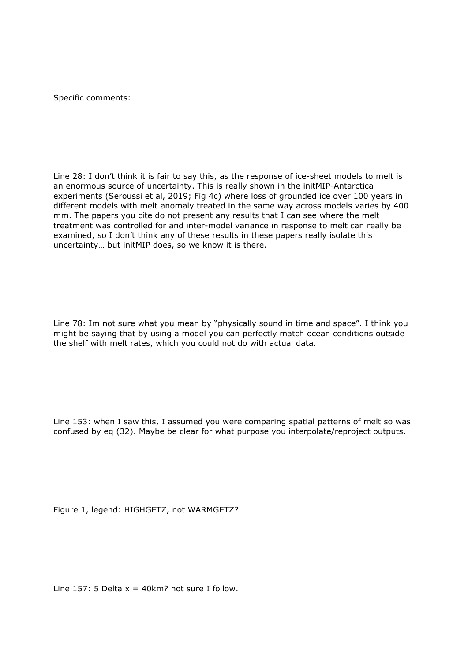Specific comments:

Line 28: I don't think it is fair to say this, as the response of ice-sheet models to melt is an enormous source of uncertainty. This is really shown in the initMIP-Antarctica experiments (Seroussi et al, 2019; Fig 4c) where loss of grounded ice over 100 years in different models with melt anomaly treated in the same way across models varies by 400 mm. The papers you cite do not present any results that I can see where the melt treatment was controlled for and inter-model variance in response to melt can really be examined, so I don't think any of these results in these papers really isolate this uncertainty… but initMIP does, so we know it is there.

Line 78: Im not sure what you mean by "physically sound in time and space". I think you might be saying that by using a model you can perfectly match ocean conditions outside the shelf with melt rates, which you could not do with actual data.

Line 153: when I saw this, I assumed you were comparing spatial patterns of melt so was confused by eq (32). Maybe be clear for what purpose you interpolate/reproject outputs.

Figure 1, legend: HIGHGETZ, not WARMGETZ?

Line 157: 5 Delta  $x = 40$ km? not sure I follow.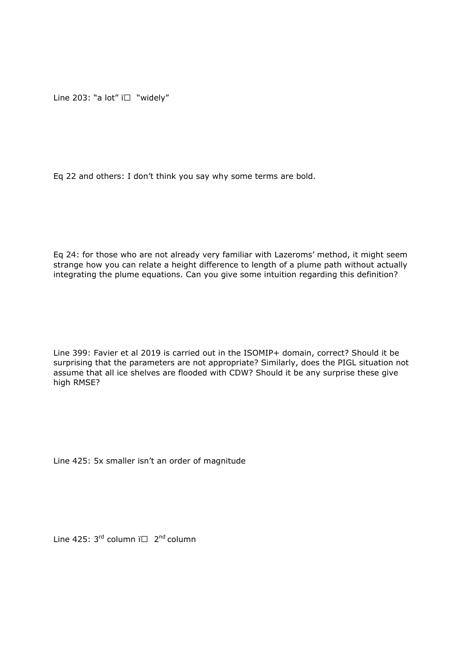Line 203: "a lot"  $i \Box$  "widely"

Eq 22 and others: I don't think you say why some terms are bold.

Eq 24: for those who are not already very familiar with Lazeroms' method, it might seem strange how you can relate a height difference to length of a plume path without actually integrating the plume equations. Can you give some intuition regarding this definition?

Line 399: Favier et al 2019 is carried out in the ISOMIP+ domain, correct? Should it be surprising that the parameters are not appropriate? Similarly, does the PIGL situation not assume that all ice shelves are flooded with CDW? Should it be any surprise these give high RMSE?

Line 425: 5x smaller isn't an order of magnitude

Line 425:  $3^{rd}$  column  $i \Box$   $2^{nd}$  column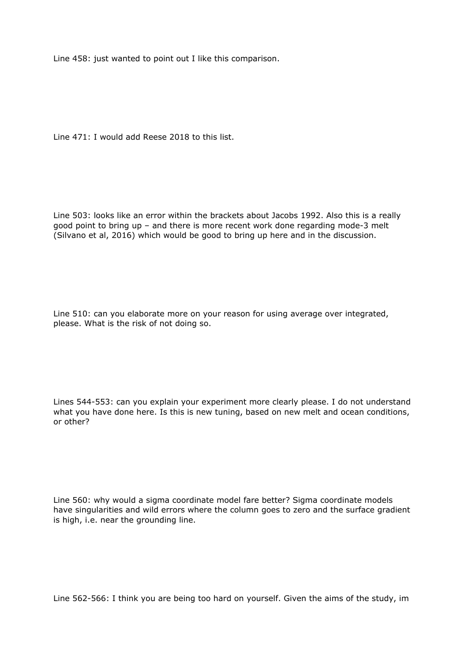Line 458: just wanted to point out I like this comparison.

Line 471: I would add Reese 2018 to this list.

Line 503: looks like an error within the brackets about Jacobs 1992. Also this is a really good point to bring up – and there is more recent work done regarding mode-3 melt (Silvano et al, 2016) which would be good to bring up here and in the discussion.

Line 510: can you elaborate more on your reason for using average over integrated, please. What is the risk of not doing so.

Lines 544-553: can you explain your experiment more clearly please. I do not understand what you have done here. Is this is new tuning, based on new melt and ocean conditions, or other?

Line 560: why would a sigma coordinate model fare better? Sigma coordinate models have singularities and wild errors where the column goes to zero and the surface gradient is high, i.e. near the grounding line.

Line 562-566: I think you are being too hard on yourself. Given the aims of the study, im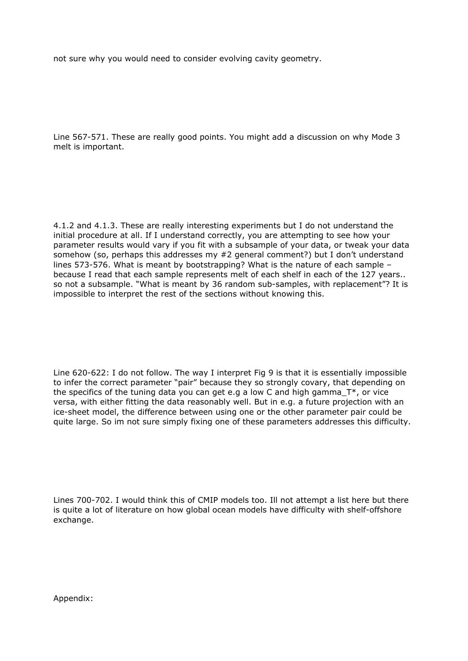not sure why you would need to consider evolving cavity geometry.

Line 567-571. These are really good points. You might add a discussion on why Mode 3 melt is important.

4.1.2 and 4.1.3. These are really interesting experiments but I do not understand the initial procedure at all. If I understand correctly, you are attempting to see how your parameter results would vary if you fit with a subsample of your data, or tweak your data somehow (so, perhaps this addresses my #2 general comment?) but I don't understand lines 573-576. What is meant by bootstrapping? What is the nature of each sample – because I read that each sample represents melt of each shelf in each of the 127 years.. so not a subsample. "What is meant by 36 random sub-samples, with replacement"? It is impossible to interpret the rest of the sections without knowing this.

Line 620-622: I do not follow. The way I interpret Fig 9 is that it is essentially impossible to infer the correct parameter "pair" because they so strongly covary, that depending on the specifics of the tuning data you can get e.g a low C and high gamma  $T^*$ , or vice versa, with either fitting the data reasonably well. But in e.g. a future projection with an ice-sheet model, the difference between using one or the other parameter pair could be quite large. So im not sure simply fixing one of these parameters addresses this difficulty.

Lines 700-702. I would think this of CMIP models too. Ill not attempt a list here but there is quite a lot of literature on how global ocean models have difficulty with shelf-offshore exchange.

Appendix: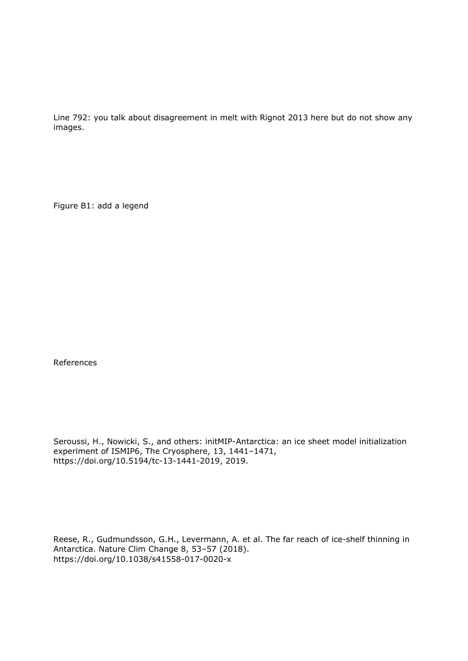Line 792: you talk about disagreement in melt with Rignot 2013 here but do not show any images.

Figure B1: add a legend

References

Seroussi, H., Nowicki, S., and others: initMIP-Antarctica: an ice sheet model initialization experiment of ISMIP6, The Cryosphere, 13, 1441–1471, https://doi.org/10.5194/tc-13-1441-2019, 2019.

Reese, R., Gudmundsson, G.H., Levermann, A. et al. The far reach of ice-shelf thinning in Antarctica. Nature Clim Change 8, 53–57 (2018). https://doi.org/10.1038/s41558-017-0020-x